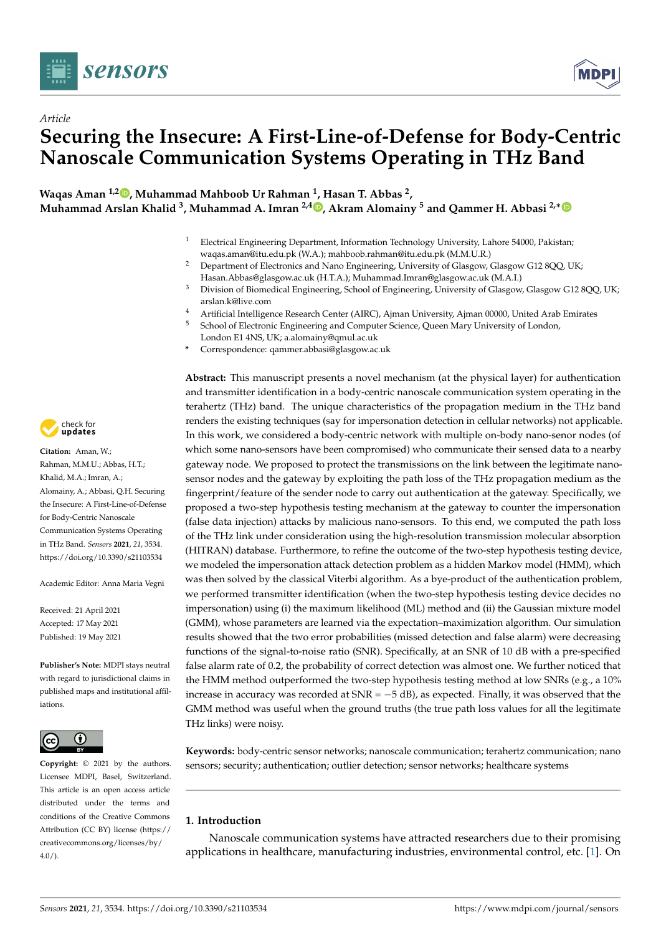

*Article*



# **Securing the Insecure: A First-Line-of-Defense for Body-Centric Nanoscale Communication Systems Operating in THz Band**

**Waqas Aman 1,2 [,](https://orcid.org/0000-0002-2443-1302) Muhammad Mahboob Ur Rahman <sup>1</sup> , Hasan T. Abbas <sup>2</sup> , Muhammad Arslan Khalid <sup>3</sup> , Muhammad A. Imran 2,4 [,](https://orcid.org/0000-0003-4743-9136) Akram Alomainy <sup>5</sup> and Qammer H. Abbasi 2,**[∗](https://orcid.org/0000-0002-7097-9969)

- <sup>1</sup> Electrical Engineering Department, Information Technology University, Lahore 54000, Pakistan; waqas.aman@itu.edu.pk (W.A.); mahboob.rahman@itu.edu.pk (M.M.U.R.)
- <sup>2</sup> Department of Electronics and Nano Engineering, University of Glasgow, Glasgow G12 8QQ, UK; Hasan.Abbas@glasgow.ac.uk (H.T.A.); Muhammad.Imran@glasgow.ac.uk (M.A.I.)
- <sup>3</sup> Division of Biomedical Engineering, School of Engineering, University of Glasgow, Glasgow G12 8QQ, UK; arslan.k@live.com
- 4 Artificial Intelligence Research Center (AIRC), Ajman University, Ajman 00000, United Arab Emirates<br>5 School of Electronic Engineering and Computer Science, Queen Mary University of London
- <sup>5</sup> School of Electronic Engineering and Computer Science, Queen Mary University of London, London E1 4NS, UK; a.alomainy@qmul.ac.uk
- **\*** Correspondence: qammer.abbasi@glasgow.ac.uk

**Abstract:** This manuscript presents a novel mechanism (at the physical layer) for authentication and transmitter identification in a body-centric nanoscale communication system operating in the terahertz (THz) band. The unique characteristics of the propagation medium in the THz band renders the existing techniques (say for impersonation detection in cellular networks) not applicable. In this work, we considered a body-centric network with multiple on-body nano-senor nodes (of which some nano-sensors have been compromised) who communicate their sensed data to a nearby gateway node. We proposed to protect the transmissions on the link between the legitimate nanosensor nodes and the gateway by exploiting the path loss of the THz propagation medium as the fingerprint/feature of the sender node to carry out authentication at the gateway. Specifically, we proposed a two-step hypothesis testing mechanism at the gateway to counter the impersonation (false data injection) attacks by malicious nano-sensors. To this end, we computed the path loss of the THz link under consideration using the high-resolution transmission molecular absorption (HITRAN) database. Furthermore, to refine the outcome of the two-step hypothesis testing device, we modeled the impersonation attack detection problem as a hidden Markov model (HMM), which was then solved by the classical Viterbi algorithm. As a bye-product of the authentication problem, we performed transmitter identification (when the two-step hypothesis testing device decides no impersonation) using (i) the maximum likelihood (ML) method and (ii) the Gaussian mixture model (GMM), whose parameters are learned via the expectation–maximization algorithm. Our simulation results showed that the two error probabilities (missed detection and false alarm) were decreasing functions of the signal-to-noise ratio (SNR). Specifically, at an SNR of 10 dB with a pre-specified false alarm rate of 0.2, the probability of correct detection was almost one. We further noticed that the HMM method outperformed the two-step hypothesis testing method at low SNRs (e.g., a 10% increase in accuracy was recorded at  $SNR = -5$  dB), as expected. Finally, it was observed that the GMM method was useful when the ground truths (the true path loss values for all the legitimate THz links) were noisy.

**Keywords:** body-centric sensor networks; nanoscale communication; terahertz communication; nano sensors; security; authentication; outlier detection; sensor networks; healthcare systems

# **1. Introduction**

Nanoscale communication systems have attracted researchers due to their promising applications in healthcare, manufacturing industries, environmental control, etc. [\[1\]](#page-12-0). On



**Citation:** Aman, W.; Rahman, M.M.U.; Abbas, H.T.; Khalid, M.A.; Imran, A.; Alomainy, A.; Abbasi, Q.H. Securing the Insecure: A First-Line-of-Defense for Body-Centric Nanoscale Communication Systems Operating in THz Band. *Sensors* **2021**, *21*, 3534. <https://doi.org/10.3390/s21103534>

Academic Editor: Anna Maria Vegni

Received: 21 April 2021 Accepted: 17 May 2021 Published: 19 May 2021

**Publisher's Note:** MDPI stays neutral with regard to jurisdictional claims in published maps and institutional affiliations.



**Copyright:** © 2021 by the authors. Licensee MDPI, Basel, Switzerland. This article is an open access article distributed under the terms and conditions of the Creative Commons Attribution (CC BY) license (https:/[/](https://creativecommons.org/licenses/by/4.0/) [creativecommons.org/licenses/by/](https://creativecommons.org/licenses/by/4.0/)  $4.0/$ ).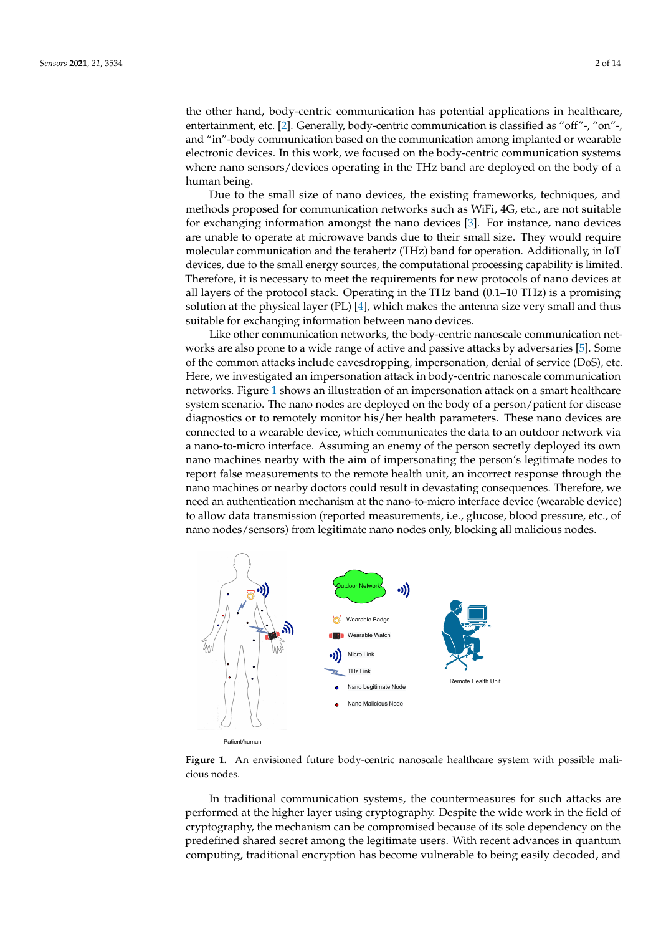the other hand, body-centric communication has potential applications in healthcare, entertainment, etc. [\[2\]](#page-12-1). Generally, body-centric communication is classified as "off"-, "on"-, and "in"-body communication based on the communication among implanted or wearable electronic devices. In this work, we focused on the body-centric communication systems where nano sensors/devices operating in the THz band are deployed on the body of a human being.

Due to the small size of nano devices, the existing frameworks, techniques, and methods proposed for communication networks such as WiFi, 4G, etc., are not suitable for exchanging information amongst the nano devices [\[3\]](#page-12-2). For instance, nano devices are unable to operate at microwave bands due to their small size. They would require molecular communication and the terahertz (THz) band for operation. Additionally, in IoT devices, due to the small energy sources, the computational processing capability is limited. Therefore, it is necessary to meet the requirements for new protocols of nano devices at all layers of the protocol stack. Operating in the THz band (0.1–10 THz) is a promising solution at the physical layer (PL)  $[4]$ , which makes the antenna size very small and thus suitable for exchanging information between nano devices.

Like other communication networks, the body-centric nanoscale communication networks are also prone to a wide range of active and passive attacks by adversaries [\[5\]](#page-12-4). Some of the common attacks include eavesdropping, impersonation, denial of service (DoS), etc. Here, we investigated an impersonation attack in body-centric nanoscale communication networks. Figure [1](#page-1-0) shows an illustration of an impersonation attack on a smart healthcare system scenario. The nano nodes are deployed on the body of a person/patient for disease diagnostics or to remotely monitor his/her health parameters. These nano devices are connected to a wearable device, which communicates the data to an outdoor network via a nano-to-micro interface. Assuming an enemy of the person secretly deployed its own nano machines nearby with the aim of impersonating the person's legitimate nodes to report false measurements to the remote health unit, an incorrect response through the nano machines or nearby doctors could result in devastating consequences. Therefore, we need an authentication mechanism at the nano-to-micro interface device (wearable device) to allow data transmission (reported measurements, i.e., glucose, blood pressure, etc., of nano nodes/sensors) from legitimate nano nodes only, blocking all malicious nodes.

<span id="page-1-0"></span>

**Figure 1.** An envisioned future body-centric nanoscale healthcare system with possible malicious nodes.

In traditional communication systems, the countermeasures for such attacks are performed at the higher layer using cryptography. Despite the wide work in the field of cryptography, the mechanism can be compromised because of its sole dependency on the predefined shared secret among the legitimate users. With recent advances in quantum computing, traditional encryption has become vulnerable to being easily decoded, and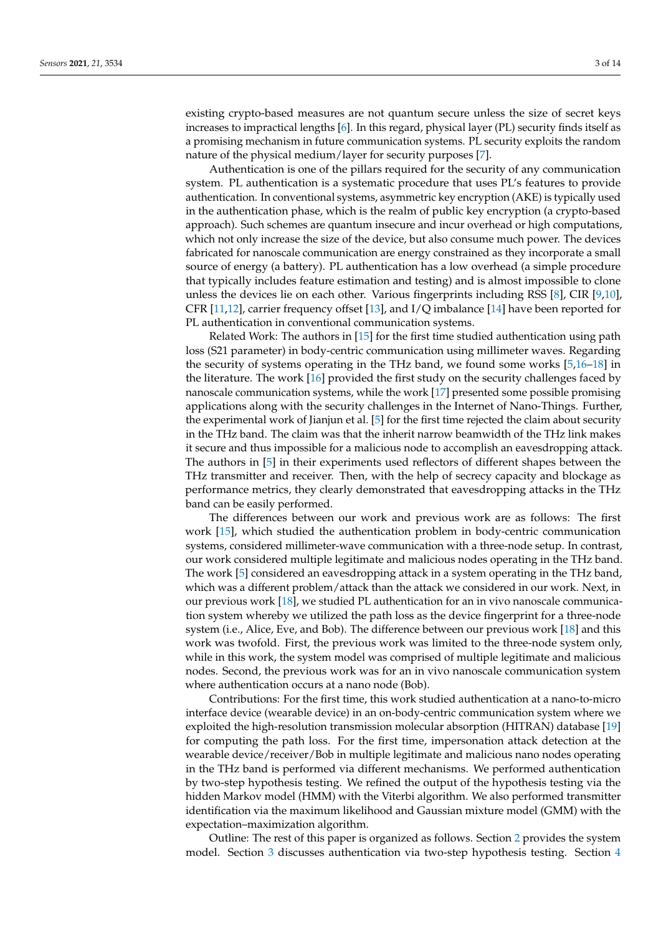existing crypto-based measures are not quantum secure unless the size of secret keys increases to impractical lengths [\[6\]](#page-12-5). In this regard, physical layer (PL) security finds itself as a promising mechanism in future communication systems. PL security exploits the random nature of the physical medium/layer for security purposes [\[7\]](#page-12-6).

Authentication is one of the pillars required for the security of any communication system. PL authentication is a systematic procedure that uses PL's features to provide authentication. In conventional systems, asymmetric key encryption (AKE) is typically used in the authentication phase, which is the realm of public key encryption (a crypto-based approach). Such schemes are quantum insecure and incur overhead or high computations, which not only increase the size of the device, but also consume much power. The devices fabricated for nanoscale communication are energy constrained as they incorporate a small source of energy (a battery). PL authentication has a low overhead (a simple procedure that typically includes feature estimation and testing) and is almost impossible to clone unless the devices lie on each other. Various fingerprints including RSS [\[8\]](#page-12-7), CIR [\[9,](#page-12-8)[10\]](#page-12-9), CFR [\[11,](#page-12-10)[12\]](#page-12-11), carrier frequency offset [\[13\]](#page-12-12), and I/Q imbalance [\[14\]](#page-12-13) have been reported for PL authentication in conventional communication systems.

Related Work: The authors in [\[15\]](#page-12-14) for the first time studied authentication using path loss (S21 parameter) in body-centric communication using millimeter waves. Regarding the security of systems operating in the THz band, we found some works [\[5](#page-12-4)[,16–](#page-12-15)[18\]](#page-12-16) in the literature. The work [\[16\]](#page-12-15) provided the first study on the security challenges faced by nanoscale communication systems, while the work [\[17\]](#page-12-17) presented some possible promising applications along with the security challenges in the Internet of Nano-Things. Further, the experimental work of Jianjun et al. [\[5\]](#page-12-4) for the first time rejected the claim about security in the THz band. The claim was that the inherit narrow beamwidth of the THz link makes it secure and thus impossible for a malicious node to accomplish an eavesdropping attack. The authors in [\[5\]](#page-12-4) in their experiments used reflectors of different shapes between the THz transmitter and receiver. Then, with the help of secrecy capacity and blockage as performance metrics, they clearly demonstrated that eavesdropping attacks in the THz band can be easily performed.

The differences between our work and previous work are as follows: The first work [\[15\]](#page-12-14), which studied the authentication problem in body-centric communication systems, considered millimeter-wave communication with a three-node setup. In contrast, our work considered multiple legitimate and malicious nodes operating in the THz band. The work [\[5\]](#page-12-4) considered an eavesdropping attack in a system operating in the THz band, which was a different problem/attack than the attack we considered in our work. Next, in our previous work [\[18\]](#page-12-16), we studied PL authentication for an in vivo nanoscale communication system whereby we utilized the path loss as the device fingerprint for a three-node system (i.e., Alice, Eve, and Bob). The difference between our previous work [\[18\]](#page-12-16) and this work was twofold. First, the previous work was limited to the three-node system only, while in this work, the system model was comprised of multiple legitimate and malicious nodes. Second, the previous work was for an in vivo nanoscale communication system where authentication occurs at a nano node (Bob).

Contributions: For the first time, this work studied authentication at a nano-to-micro interface device (wearable device) in an on-body-centric communication system where we exploited the high-resolution transmission molecular absorption (HITRAN) database [\[19\]](#page-12-18) for computing the path loss. For the first time, impersonation attack detection at the wearable device/receiver/Bob in multiple legitimate and malicious nano nodes operating in the THz band is performed via different mechanisms. We performed authentication by two-step hypothesis testing. We refined the output of the hypothesis testing via the hidden Markov model (HMM) with the Viterbi algorithm. We also performed transmitter identification via the maximum likelihood and Gaussian mixture model (GMM) with the expectation–maximization algorithm.

Outline: The rest of this paper is organized as follows. Section [2](#page-3-0) provides the system model. Section [3](#page-3-1) discusses authentication via two-step hypothesis testing. Section [4](#page-5-0)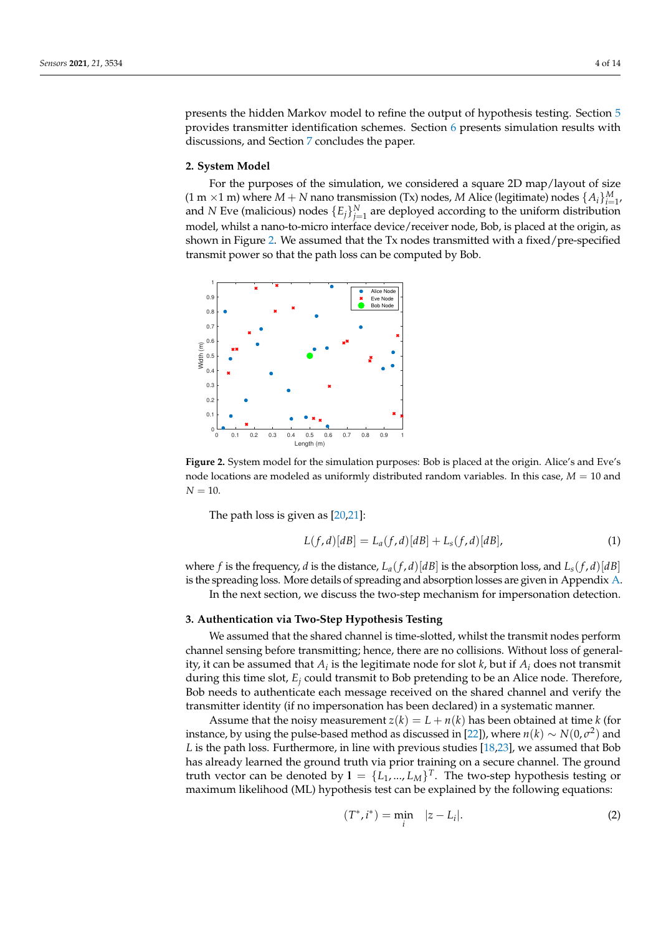presents the hidden Markov model to refine the output of hypothesis testing. Section [5](#page-5-1) provides transmitter identification schemes. Section [6](#page-7-0) presents simulation results with discussions, and Section [7](#page-10-0) concludes the paper.

#### <span id="page-3-0"></span>**2. System Model**

For the purposes of the simulation, we considered a square 2D map/layout of size  $(1 \text{ m} \times 1 \text{ m})$  where  $M + N$  nano transmission (Tx) nodes,  $M$  Alice (legitimate) nodes  $\{A_i\}_{i=1}^M$ , and *N* Eve (malicious) nodes  ${E_j}_{j=1}^N$  are deployed according to the uniform distribution model, whilst a nano-to-micro interface device/receiver node, Bob, is placed at the origin, as shown in Figure [2.](#page-3-2) We assumed that the Tx nodes transmitted with a fixed/pre-specified transmit power so that the path loss can be computed by Bob.

<span id="page-3-2"></span>

**Figure 2.** System model for the simulation purposes: Bob is placed at the origin. Alice's and Eve's node locations are modeled as uniformly distributed random variables. In this case, *M* = 10 and  $N = 10$ .

The path loss is given as [\[20,](#page-12-19)[21\]](#page-13-0):

$$
L(f,d)[dB] = L_a(f,d)[dB] + L_s(f,d)[dB],
$$
 (1)

where *f* is the frequency, *d* is the distance,  $L_a(f, d)[dB]$  is the absorption loss, and  $L_s(f, d)[dB]$ is the spreading loss. More details of spreading and absorption losses are given in Appendix [A.](#page-11-0)

In the next section, we discuss the two-step mechanism for impersonation detection.

#### <span id="page-3-1"></span>**3. Authentication via Two-Step Hypothesis Testing**

We assumed that the shared channel is time-slotted, whilst the transmit nodes perform channel sensing before transmitting; hence, there are no collisions. Without loss of generality, it can be assumed that  $A_i$  is the legitimate node for slot  $k$ , but if  $A_i$  does not transmit during this time slot, *E<sup>j</sup>* could transmit to Bob pretending to be an Alice node. Therefore, Bob needs to authenticate each message received on the shared channel and verify the transmitter identity (if no impersonation has been declared) in a systematic manner.

Assume that the noisy measurement  $z(k) = L + n(k)$  has been obtained at time *k* (for instance, by using the pulse-based method as discussed in [\[22\]](#page-13-1)), where  $n(k) \sim N(0,\sigma^2)$  and *L* is the path loss. Furthermore, in line with previous studies [\[18](#page-12-16)[,23\]](#page-13-2), we assumed that Bob has already learned the ground truth via prior training on a secure channel. The ground truth vector can be denoted by  $I = \{L_1, ..., L_M\}^T$ . The two-step hypothesis testing or maximum likelihood (ML) hypothesis test can be explained by the following equations:

<span id="page-3-3"></span>
$$
(T^*, i^*) = \min_i \quad |z - L_i|.
$$
 (2)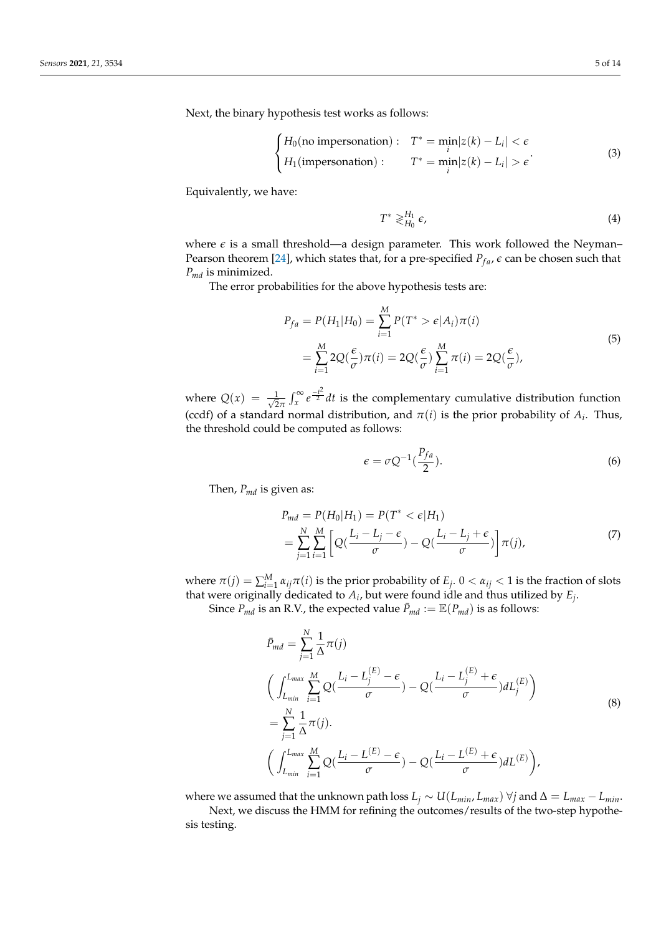Next, the binary hypothesis test works as follows:

$$
\begin{cases}\nH_0(\text{no impersonation}): \quad T^* = \min_i |z(k) - L_i| < \epsilon \\
H_1(\text{impersonation}): \quad T^* = \min_i |z(k) - L_i| > \epsilon\n\end{cases} \tag{3}
$$

Equivalently, we have:

<span id="page-4-0"></span>
$$
T^* \gtrless_{H_0}^{H_1} \epsilon,\tag{4}
$$

where  $\epsilon$  is a small threshold—a design parameter. This work followed the Neyman– Pearson theorem [\[24\]](#page-13-3), which states that, for a pre-specified  $P_{fa}$ ,  $\epsilon$  can be chosen such that *Pmd* is minimized.

The error probabilities for the above hypothesis tests are:

$$
P_{fa} = P(H_1|H_0) = \sum_{i=1}^{M} P(T^* > \epsilon | A_i) \pi(i)
$$
  
= 
$$
\sum_{i=1}^{M} 2Q(\frac{\epsilon}{\sigma}) \pi(i) = 2Q(\frac{\epsilon}{\sigma}) \sum_{i=1}^{M} \pi(i) = 2Q(\frac{\epsilon}{\sigma}),
$$
 (5)

where  $Q(x) = \frac{1}{\sqrt{2}}$  $\frac{1}{2\pi} \int_{x}^{\infty} e^{-\frac{t^2}{2}} dt$  is the complementary cumulative distribution function (ccdf) of a standard normal distribution, and  $\pi(i)$  is the prior probability of  $A_i$ . Thus, the threshold could be computed as follows:

<span id="page-4-1"></span>
$$
\epsilon = \sigma Q^{-1} \left( \frac{P_{fa}}{2} \right). \tag{6}
$$

Then, *Pmd* is given as:

$$
P_{md} = P(H_0|H_1) = P(T^* < \epsilon | H_1)
$$
  
= 
$$
\sum_{j=1}^{N} \sum_{i=1}^{M} \left[ Q(\frac{L_i - L_j - \epsilon}{\sigma}) - Q(\frac{L_i - L_j + \epsilon}{\sigma}) \right] \pi(j),
$$
 (7)

where  $\pi(j) = \sum_{i=1}^{M} \alpha_{ij} \pi(i)$  is the prior probability of  $E_j$ .  $0 < \alpha_{ij} < 1$  is the fraction of slots that were originally dedicated to *A<sup>i</sup>* , but were found idle and thus utilized by *E<sup>j</sup>* .

Since  $P_{md}$  is an R.V., the expected value  $\bar{P}_{md} := \mathbb{E}(P_{md})$  is as follows:

$$
\bar{P}_{md} = \sum_{j=1}^{N} \frac{1}{\Delta} \pi(j)
$$
\n
$$
\left( \int_{L_{min}}^{L_{max}} \sum_{i=1}^{M} Q\left(\frac{L_i - L_j^{(E)} - \epsilon}{\sigma}\right) - Q\left(\frac{L_i - L_j^{(E)} + \epsilon}{\sigma}\right) dL_j^{(E)} \right)
$$
\n
$$
= \sum_{j=1}^{N} \frac{1}{\Delta} \pi(j).
$$
\n
$$
\left( \int_{L_{min}}^{L_{max}} \sum_{i=1}^{M} Q\left(\frac{L_i - L^{(E)} - \epsilon}{\sigma}\right) - Q\left(\frac{L_i - L^{(E)} + \epsilon}{\sigma}\right) dL^{(E)} \right),
$$
\n(8)

where we assumed that the unknown path loss  $L_j \sim U(L_{min}, L_{max}) \ \forall j$  and  $\Delta = L_{max} - L_{min}$ .

Next, we discuss the HMM for refining the outcomes/results of the two-step hypothesis testing.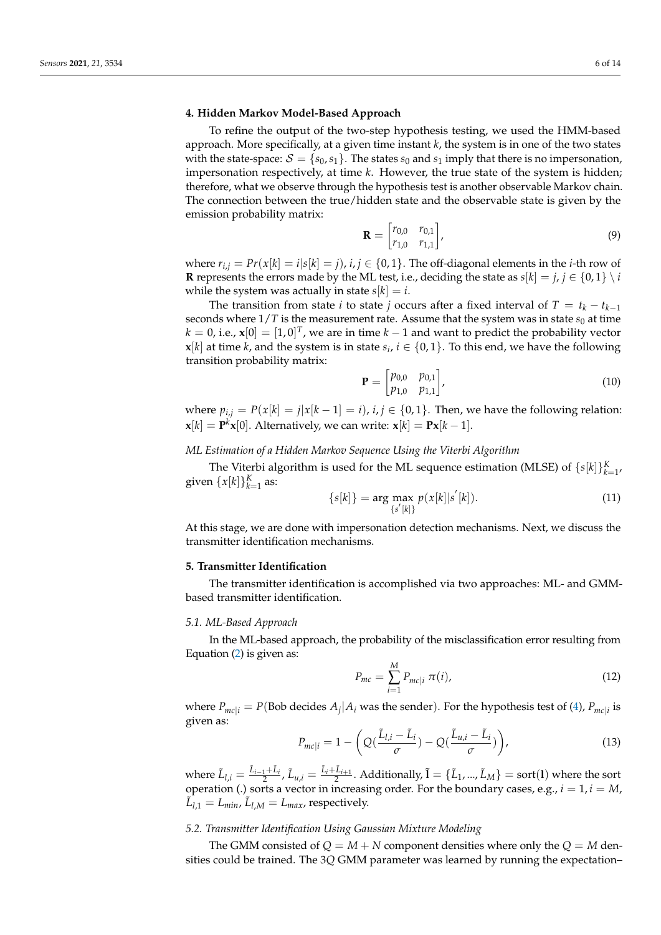# <span id="page-5-0"></span>**4. Hidden Markov Model-Based Approach**

To refine the output of the two-step hypothesis testing, we used the HMM-based approach. More specifically, at a given time instant *k*, the system is in one of the two states with the state-space:  $S = \{s_0, s_1\}$ . The states  $s_0$  and  $s_1$  imply that there is no impersonation, impersonation respectively, at time *k*. However, the true state of the system is hidden; therefore, what we observe through the hypothesis test is another observable Markov chain. The connection between the true/hidden state and the observable state is given by the emission probability matrix:

$$
\mathbf{R} = \begin{bmatrix} r_{0,0} & r_{0,1} \\ r_{1,0} & r_{1,1} \end{bmatrix},
$$
 (9)

where  $r_{i,j} = Pr(x[k] = i|s[k] = j)$ ,  $i, j \in \{0, 1\}$ . The off-diagonal elements in the *i*-th row of **R** represents the errors made by the ML test, i.e., deciding the state as  $s[k] = j, j \in \{0, 1\} \setminus i$ while the system was actually in state  $s[k] = i$ .

The transition from state *i* to state *j* occurs after a fixed interval of  $T = t_k - t_{k-1}$ seconds where  $1/T$  is the measurement rate. Assume that the system was in state  $s_0$  at time  $k = 0$ , i.e.,  $\mathbf{x}[0] = [1,0]^T$ , we are in time  $k-1$  and want to predict the probability vector **x**[ $k$ ] at time  $k$ , and the system is in state  $s_i$ ,  $i \in \{0,1\}$ . To this end, we have the following transition probability matrix:

$$
\mathbf{P} = \begin{bmatrix} p_{0,0} & p_{0,1} \\ p_{1,0} & p_{1,1} \end{bmatrix}, \tag{10}
$$

where  $p_{i,j} = P(x[k] = j|x[k-1] = i)$ ,  $i, j \in \{0, 1\}$ . Then, we have the following relation:  $\mathbf{x}[k] = \mathbf{P}^k \mathbf{x}[0]$ . Alternatively, we can write:  $\mathbf{x}[k] = \mathbf{P} \mathbf{x}[k-1]$ .

#### *ML Estimation of a Hidden Markov Sequence Using the Viterbi Algorithm*

The Viterbi algorithm is used for the ML sequence estimation (MLSE) of  $\{s[k]\}_{k=1}^K$ , given  $\{x[k]\}_{k=1}^K$  as:

$$
\{s[k]\} = \arg\max_{\{s'[k]\}} p(x[k]|s'[k]). \tag{11}
$$

At this stage, we are done with impersonation detection mechanisms. Next, we discuss the transmitter identification mechanisms.

## <span id="page-5-1"></span>**5. Transmitter Identification**

The transmitter identification is accomplished via two approaches: ML- and GMMbased transmitter identification.

#### *5.1. ML-Based Approach*

In the ML-based approach, the probability of the misclassification error resulting from Equation [\(2\)](#page-3-3) is given as:

$$
P_{mc} = \sum_{i=1}^{M} P_{mc|i} \,\pi(i),\tag{12}
$$

where  $P_{mc|i} = P(\text{Bob decides } A_j | A_i \text{ was the sender}).$  For the hypothesis test of [\(4\)](#page-4-0),  $P_{mc|i}$  is given as:

<span id="page-5-2"></span>
$$
P_{mc|i} = 1 - \left(Q(\frac{\tilde{L}_{l,i} - \tilde{L}_i}{\sigma}) - Q(\frac{\tilde{L}_{u,i} - \tilde{L}_i}{\sigma})\right),\tag{13}
$$

where  $\tilde{L}_{l,i} = \frac{\tilde{L}_{i-1} + \tilde{L}_i}{2}$ ,  $\tilde{L}_{u,i} = \frac{\tilde{L}_i + \tilde{L}_{i+1}}{2}$ . Additionally,  $\tilde{\mathbf{l}} = \{\tilde{L}_1, ..., \tilde{L}_M\} = \text{sort}(\mathbf{l})$  where the sort operation (.) sorts a vector in increasing order. For the boundary cases, e.g.,  $i = 1$ ,  $i = M$ ,  $\tilde{L}_{l,1} = L_{min}$ ,  $\tilde{L}_{l,M} = L_{max}$ , respectively.

#### *5.2. Transmitter Identification Using Gaussian Mixture Modeling*

The GMM consisted of  $Q = M + N$  component densities where only the  $Q = M$  densities could be trained. The 3*Q* GMM parameter was learned by running the expectation–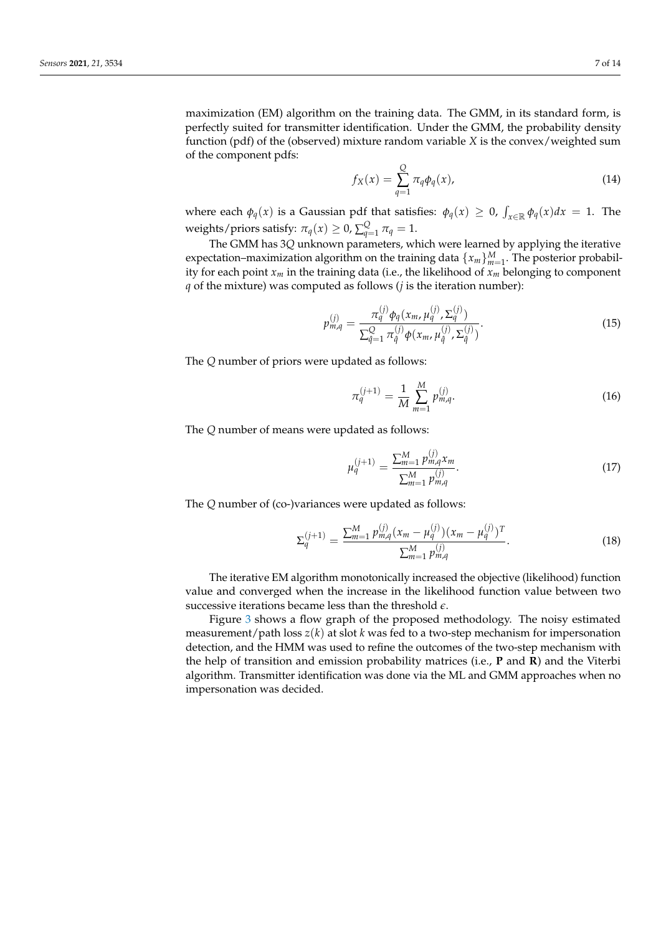maximization (EM) algorithm on the training data. The GMM, in its standard form, is perfectly suited for transmitter identification. Under the GMM, the probability density function (pdf) of the (observed) mixture random variable *X* is the convex/weighted sum of the component pdfs:

$$
f_X(x) = \sum_{q=1}^{Q} \pi_q \phi_q(x), \qquad (14)
$$

where each  $\phi_q(x)$  is a Gaussian pdf that satisfies:  $\phi_q(x) \geq 0$ ,  $\int_{x \in \mathbb{R}} \phi_q(x) dx = 1$ . The weights/priors satisfy:  $\pi_q(x) \geq 0$ ,  $\sum_{q=1}^Q \pi_q = 1$ .

The GMM has 3*Q* unknown parameters, which were learned by applying the iterative expectation–maximization algorithm on the training data  $\{x_m\}_{m=1}^M$ . The posterior probability for each point *x<sup>m</sup>* in the training data (i.e., the likelihood of *x<sup>m</sup>* belonging to component *q* of the mixture) was computed as follows (*j* is the iteration number):

$$
p_{m,q}^{(j)} = \frac{\pi_q^{(j)} \phi_q(x_m, \mu_q^{(j)}, \Sigma_q^{(j)})}{\sum_{\hat{q}=1}^Q \pi_{\hat{q}}^{(j)} \phi(x_m, \mu_{\hat{q}}^{(j)}, \Sigma_{\hat{q}}^{(j)})}.
$$
(15)

The *Q* number of priors were updated as follows:

$$
\pi_q^{(j+1)} = \frac{1}{M} \sum_{m=1}^{M} p_{m,q}^{(j)}.
$$
\n(16)

The *Q* number of means were updated as follows:

$$
\mu_q^{(j+1)} = \frac{\sum_{m=1}^M p_{m,q}^{(j)} x_m}{\sum_{m=1}^M p_{m,q}^{(j)}}.
$$
\n(17)

The *Q* number of (co-)variances were updated as follows:

$$
\Sigma_q^{(j+1)} = \frac{\sum_{m=1}^M p_{m,q}^{(j)} (x_m - \mu_q^{(j)}) (x_m - \mu_q^{(j)})^T}{\sum_{m=1}^M p_{m,q}^{(j)}}.
$$
(18)

The iterative EM algorithm monotonically increased the objective (likelihood) function value and converged when the increase in the likelihood function value between two successive iterations became less than the threshold *e*.

Figure [3](#page-7-1) shows a flow graph of the proposed methodology. The noisy estimated measurement/path loss *z*(*k*) at slot *k* was fed to a two-step mechanism for impersonation detection, and the HMM was used to refine the outcomes of the two-step mechanism with the help of transition and emission probability matrices (i.e., **P** and **R**) and the Viterbi algorithm. Transmitter identification was done via the ML and GMM approaches when no impersonation was decided.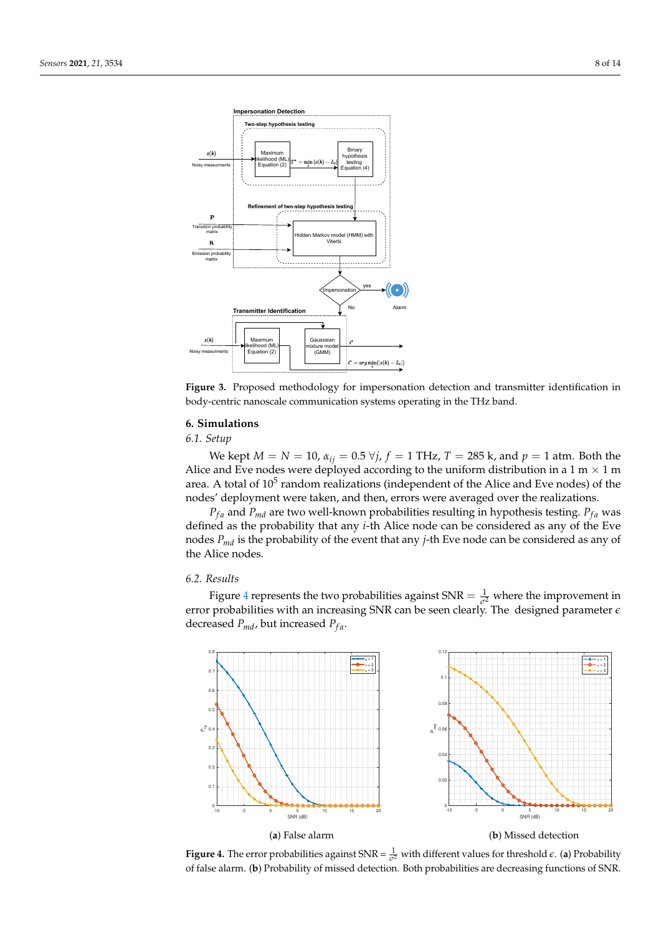<span id="page-7-1"></span>

**Figure 3.** Proposed methodology for impersonation detection and transmitter identification in body-centric nanoscale communication systems operating in the THz band.

#### <span id="page-7-0"></span>**6. Simulations**

*6.1. Setup*

*We kept M* = *N* = 10,  $α<sub>ij</sub>$  = 0.5  $∀*j*$ ,  $f$  = 1 THz, *T* = 285 k, and  $p$  = 1 atm. Both the Alice and Eve nodes were deployed according to the uniform distribution in a 1 m  $\times$  1 m area. A total of  $10^5$  random realizations (independent of the Alice and Eve nodes) of the nodes' deployment were taken, and then, errors were averaged over the realizations.

 $P_{fa}$  and  $P_{md}$  are two well-known probabilities resulting in hypothesis testing.  $P_{fa}$  was defined as the probability that any *i*-th Alice node can be considered as any of the Eve nodes *Pmd* is the probability of the event that any *j*-th Eve node can be considered as any of the Alice nodes.

## *6.2. Results*

Figure [4](#page-7-2) represents the two probabilities against  $SNR = \frac{1}{\sigma^2}$  where the improvement in error probabilities with an increasing SNR can be seen clearly. The designed parameter *e* decreased  $P_{md}$ , but increased  $P_{fa}$ .

<span id="page-7-2"></span>

**Figure 4.** The error probabilities against SNR =  $\frac{1}{\sigma^2}$  with different values for threshold  $\epsilon$ . (a) Probability of false alarm. (**b**) Probability of missed detection. Both probabilities are decreasing functions of SNR.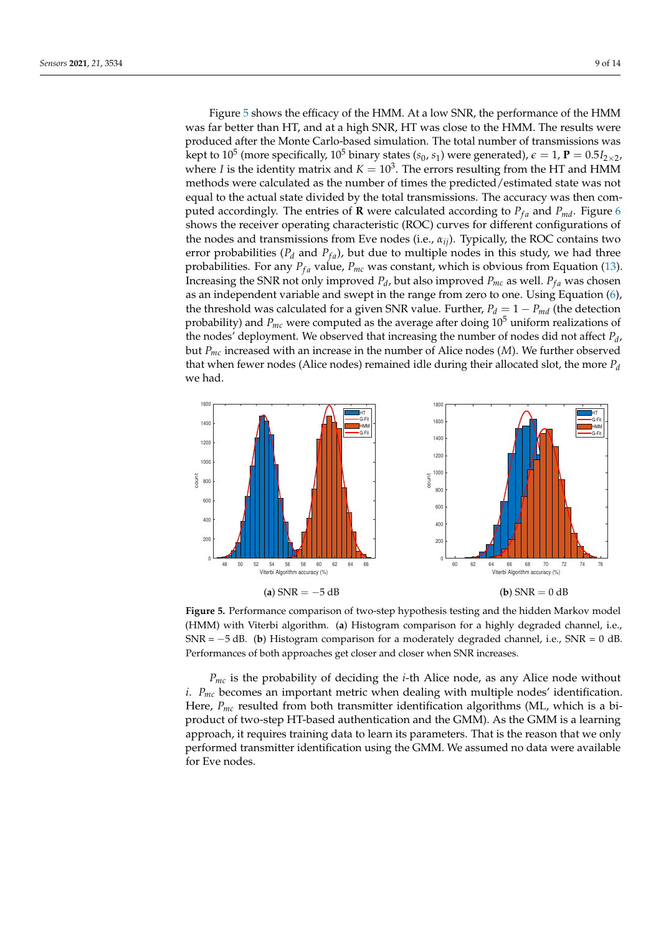Figure [5](#page-8-0) shows the efficacy of the HMM. At a low SNR, the performance of the HMM was far better than HT, and at a high SNR, HT was close to the HMM. The results were produced after the Monte Carlo-based simulation. The total number of transmissions was kept to  $10^5$  (more specifically,  $10^5$  binary states ( $s_0$ ,  $s_1$ ) were generated),  $\epsilon=1$ ,  ${\bf P}=0.5I_{2\times2}$ , where *I* is the identity matrix and  $K = 10<sup>3</sup>$ . The errors resulting from the HT and HMM methods were calculated as the number of times the predicted/estimated state was not equal to the actual state divided by the total transmissions. The accuracy was then computed accordingly. The entries of **R** were calculated according to  $P_{fa}$  and  $P_{md}$ . Figure [6](#page-9-0) shows the receiver operating characteristic (ROC) curves for different configurations of the nodes and transmissions from Eve nodes (i.e., *αij*). Typically, the ROC contains two error probabilities ( $P_d$  and  $P_{fa}$ ), but due to multiple nodes in this study, we had three probabilities. For any  $P_{fa}$  value,  $P_{mc}$  was constant, which is obvious from Equation [\(13\)](#page-5-2). Increasing the SNR not only improved  $P_d$ , but also improved  $P_{mc}$  as well.  $P_{fa}$  was chosen as an independent variable and swept in the range from zero to one. Using Equation [\(6\)](#page-4-1), the threshold was calculated for a given SNR value. Further,  $P_d = 1 - P_{md}$  (the detection probability) and  $P_{mc}$  were computed as the average after doing  $10^5$  uniform realizations of the nodes' deployment. We observed that increasing the number of nodes did not affect *P<sup>d</sup>* , but *Pmc* increased with an increase in the number of Alice nodes (*M*). We further observed that when fewer nodes (Alice nodes) remained idle during their allocated slot, the more *P<sup>d</sup>* we had.

<span id="page-8-0"></span>

**Figure 5.** Performance comparison of two-step hypothesis testing and the hidden Markov model (HMM) with Viterbi algorithm. (**a**) Histogram comparison for a highly degraded channel, i.e., SNR = −5 dB. (**b**) Histogram comparison for a moderately degraded channel, i.e., SNR = 0 dB. Performances of both approaches get closer and closer when SNR increases.

*Pmc* is the probability of deciding the *i*-th Alice node, as any Alice node without *i*. *Pmc* becomes an important metric when dealing with multiple nodes' identification. Here,  $P_{mc}$  resulted from both transmitter identification algorithms (ML, which is a biproduct of two-step HT-based authentication and the GMM). As the GMM is a learning approach, it requires training data to learn its parameters. That is the reason that we only performed transmitter identification using the GMM. We assumed no data were available for Eve nodes.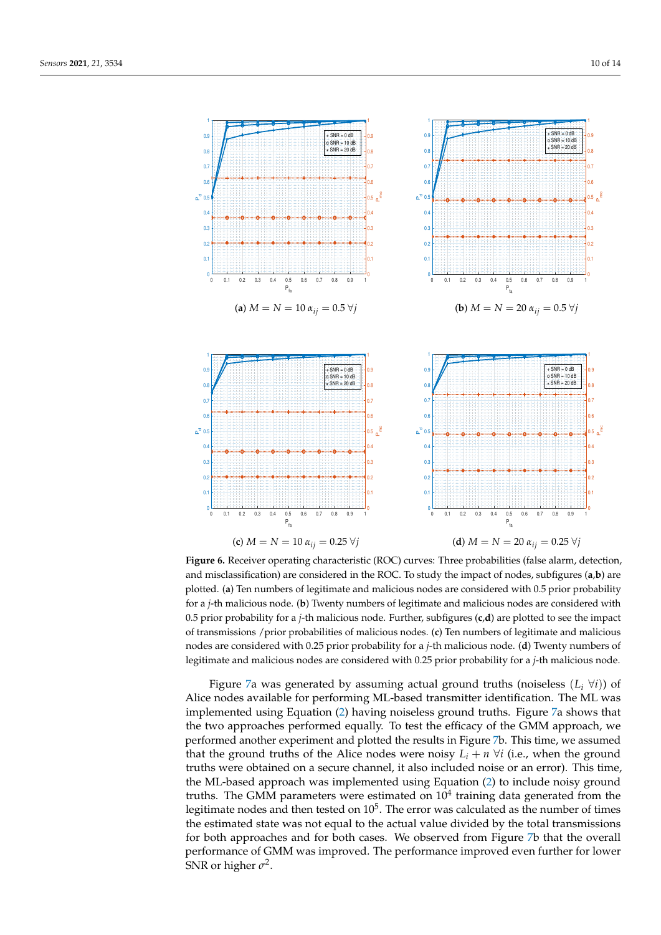<span id="page-9-0"></span>

**Figure 6.** Receiver operating characteristic (ROC) curves: Three probabilities (false alarm, detection, and misclassification) are considered in the ROC. To study the impact of nodes, subfigures (**a**,**b**) are plotted. (**a**) Ten numbers of legitimate and malicious nodes are considered with 0.5 prior probability for a *j*-th malicious node. (**b**) Twenty numbers of legitimate and malicious nodes are considered with 0.5 prior probability for a *j*-th malicious node. Further, subfigures (**c**,**d**) are plotted to see the impact of transmissions /prior probabilities of malicious nodes. (**c**) Ten numbers of legitimate and malicious nodes are considered with 0.25 prior probability for a *j*-th malicious node. (**d**) Twenty numbers of legitimate and malicious nodes are considered with 0.25 prior probability for a *j*-th malicious node.

Figure [7a](#page-10-1) was generated by assuming actual ground truths (noiseless  $(L_i \forall i)$ ) of Alice nodes available for performing ML-based transmitter identification. The ML was implemented using Equation [\(2\)](#page-3-3) having noiseless ground truths. Figure [7a](#page-10-1) shows that the two approaches performed equally. To test the efficacy of the GMM approach, we performed another experiment and plotted the results in Figure [7b](#page-10-1). This time, we assumed that the ground truths of the Alice nodes were noisy  $L_i + n \forall i$  (i.e., when the ground truths were obtained on a secure channel, it also included noise or an error). This time, the ML-based approach was implemented using Equation [\(2\)](#page-3-3) to include noisy ground truths. The GMM parameters were estimated on  $10<sup>4</sup>$  training data generated from the legitimate nodes and then tested on  $10^5$ . The error was calculated as the number of times the estimated state was not equal to the actual value divided by the total transmissions for both approaches and for both cases. We observed from Figure [7b](#page-10-1) that the overall performance of GMM was improved. The performance improved even further for lower SNR or higher  $\sigma^2$ .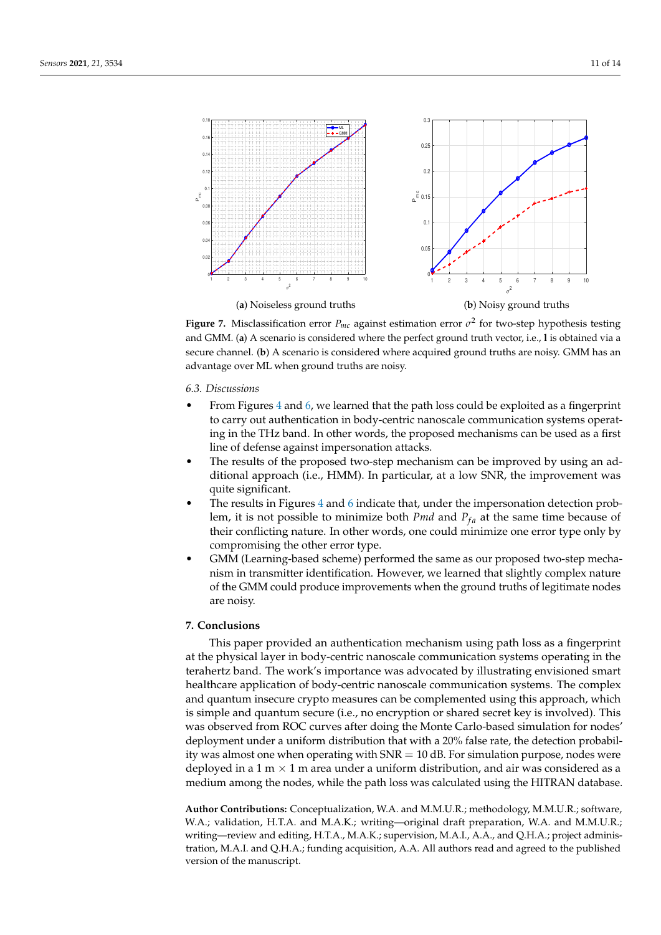<span id="page-10-1"></span>

**Figure 7.** Misclassification error  $P_{mc}$  against estimation error  $\sigma^2$  for two-step hypothesis testing and GMM. (**a**) A scenario is considered where the perfect ground truth vector, i.e., **l** is obtained via a secure channel. (**b**) A scenario is considered where acquired ground truths are noisy. GMM has an advantage over ML when ground truths are noisy.

#### *6.3. Discussions*

- From Figures [4](#page-7-2) and [6,](#page-9-0) we learned that the path loss could be exploited as a fingerprint to carry out authentication in body-centric nanoscale communication systems operating in the THz band. In other words, the proposed mechanisms can be used as a first line of defense against impersonation attacks.
- The results of the proposed two-step mechanism can be improved by using an additional approach (i.e., HMM). In particular, at a low SNR, the improvement was quite significant.
- The results in Figures [4](#page-7-2) and [6](#page-9-0) indicate that, under the impersonation detection problem, it is not possible to minimize both *Pmd* and  $P_{fa}$  at the same time because of their conflicting nature. In other words, one could minimize one error type only by compromising the other error type.
- GMM (Learning-based scheme) performed the same as our proposed two-step mechanism in transmitter identification. However, we learned that slightly complex nature of the GMM could produce improvements when the ground truths of legitimate nodes are noisy.

# <span id="page-10-0"></span>**7. Conclusions**

This paper provided an authentication mechanism using path loss as a fingerprint at the physical layer in body-centric nanoscale communication systems operating in the terahertz band. The work's importance was advocated by illustrating envisioned smart healthcare application of body-centric nanoscale communication systems. The complex and quantum insecure crypto measures can be complemented using this approach, which is simple and quantum secure (i.e., no encryption or shared secret key is involved). This was observed from ROC curves after doing the Monte Carlo-based simulation for nodes' deployment under a uniform distribution that with a 20% false rate, the detection probability was almost one when operating with  $SNR = 10$  dB. For simulation purpose, nodes were deployed in a 1 m  $\times$  1 m area under a uniform distribution, and air was considered as a medium among the nodes, while the path loss was calculated using the HITRAN database.

**Author Contributions:** Conceptualization, W.A. and M.M.U.R.; methodology, M.M.U.R.; software, W.A.; validation, H.T.A. and M.A.K.; writing—original draft preparation, W.A. and M.M.U.R.; writing—review and editing, H.T.A., M.A.K.; supervision, M.A.I., A.A., and Q.H.A.; project administration, M.A.I. and Q.H.A.; funding acquisition, A.A. All authors read and agreed to the published version of the manuscript.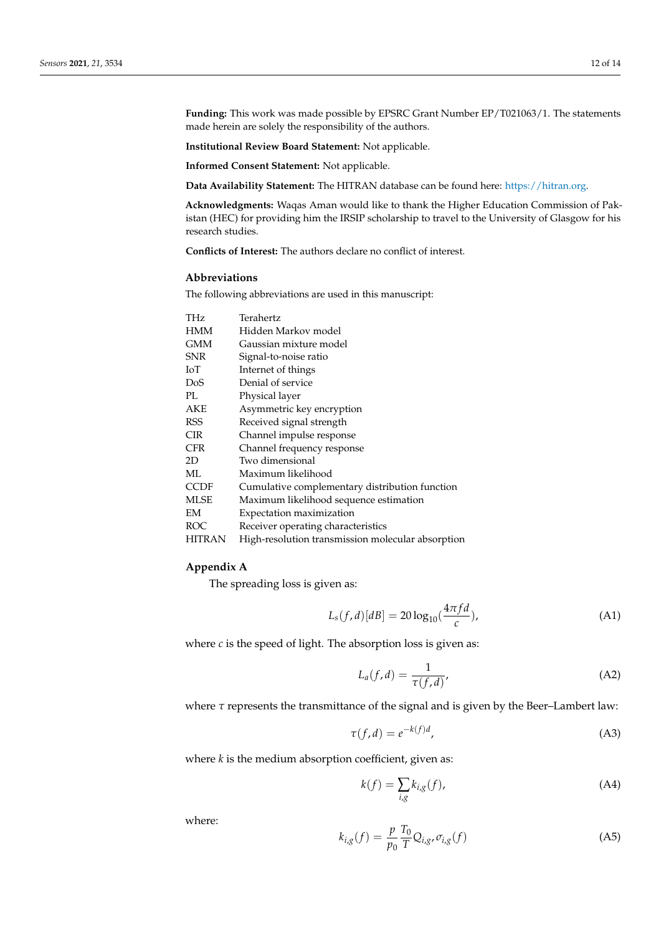**Funding:** This work was made possible by EPSRC Grant Number EP/T021063/1. The statements made herein are solely the responsibility of the authors.

**Institutional Review Board Statement:** Not applicable.

**Informed Consent Statement:** Not applicable.

**Data Availability Statement:** The HITRAN database can be found here: [https://hitran.org.](https://hitran.org)

**Acknowledgments:** Waqas Aman would like to thank the Higher Education Commission of Pakistan (HEC) for providing him the IRSIP scholarship to travel to the University of Glasgow for his research studies.

**Conflicts of Interest:** The authors declare no conflict of interest.

# **Abbreviations**

The following abbreviations are used in this manuscript:

| THz         | Terahertz                                         |
|-------------|---------------------------------------------------|
| <b>HMM</b>  | Hidden Markov model                               |
| <b>GMM</b>  | Gaussian mixture model                            |
| <b>SNR</b>  | Signal-to-noise ratio                             |
| ЮT          | Internet of things                                |
| DoS         | Denial of service                                 |
| PL.         | Physical layer                                    |
| AKE         | Asymmetric key encryption                         |
| <b>RSS</b>  | Received signal strength                          |
| <b>CIR</b>  | Channel impulse response                          |
| <b>CFR</b>  | Channel frequency response                        |
| 2D          | Two dimensional                                   |
| ML          | Maximum likelihood                                |
| <b>CCDF</b> | Cumulative complementary distribution function    |
| <b>MLSE</b> | Maximum likelihood sequence estimation            |
| EM          | Expectation maximization                          |
| ROC         | Receiver operating characteristics                |
| HITRAN      | High-resolution transmission molecular absorption |

## <span id="page-11-0"></span>**Appendix A**

The spreading loss is given as:

$$
L_s(f,d)[dB] = 20\log_{10}(\frac{4\pi fd}{c}),\tag{A1}
$$

where  $c$  is the speed of light. The absorption loss is given as:

$$
L_a(f,d) = \frac{1}{\tau(f,d)},
$$
\n(A2)

where  $\tau$  represents the transmittance of the signal and is given by the Beer–Lambert law:

$$
\tau(f, d) = e^{-k(f)d},\tag{A3}
$$

where *k* is the medium absorption coefficient, given as:

$$
k(f) = \sum_{i,g} k_{i,g}(f),
$$
\n(A4)

where:

$$
k_{i,g}(f) = \frac{p}{p_0} \frac{T_0}{T} Q_{i,g}, \sigma_{i,g}(f)
$$
 (A5)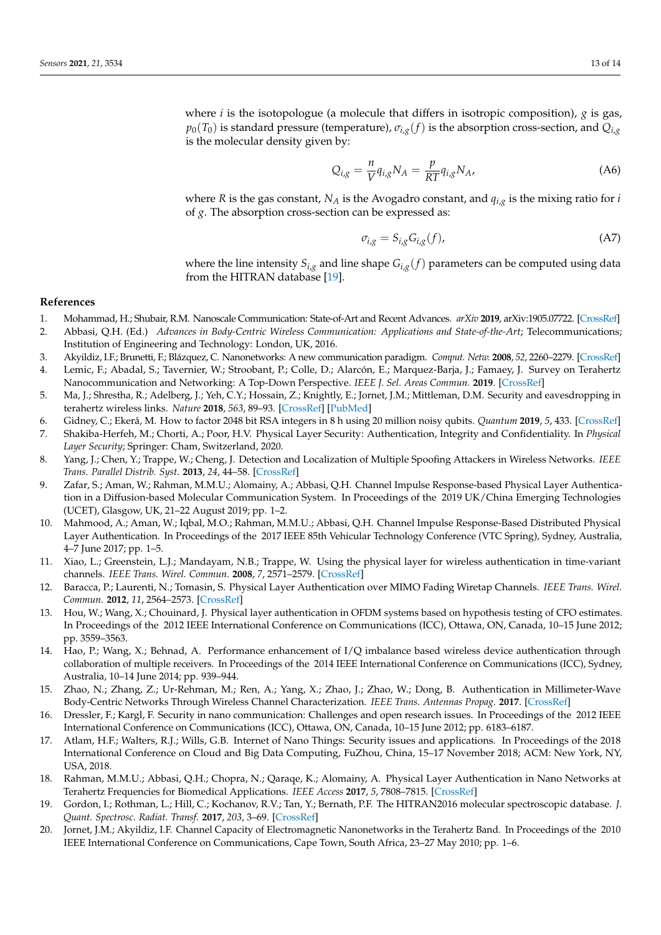where *i* is the isotopologue (a molecule that differs in isotropic composition), *g* is gas,  $p_0(T_0)$  is standard pressure (temperature),  $\sigma_{i,g}(f)$  is the absorption cross-section, and  $Q_{i,g}$ is the molecular density given by:

$$
Q_{i,g} = \frac{n}{V} q_{i,g} N_A = \frac{p}{RT} q_{i,g} N_A, \tag{A6}
$$

where *R* is the gas constant, *N<sup>A</sup>* is the Avogadro constant, and *qi*,*<sup>g</sup>* is the mixing ratio for *i* of *g*. The absorption cross-section can be expressed as:

$$
\sigma_{i,g} = S_{i,g} G_{i,g}(f),\tag{A7}
$$

where the line intensity  $S_{i,g}$  and line shape  $G_{i,g}(f)$  parameters can be computed using data from the HITRAN database [\[19\]](#page-12-18).

# **References**

- <span id="page-12-0"></span>1. Mohammad, H.; Shubair, R.M. Nanoscale Communication: State-of-Art and Recent Advances. *arXiv* **2019**, arXiv:1905.07722. [\[CrossRef\]](http://doi.org/arXiv:1905.07722)
- <span id="page-12-1"></span>2. Abbasi, Q.H. (Ed.) *Advances in Body-Centric Wireless Communication: Applications and State-of-the-Art*; Telecommunications; Institution of Engineering and Technology: London, UK, 2016.
- <span id="page-12-3"></span><span id="page-12-2"></span>3. Akyildiz, I.F.; Brunetti, F.; Blázquez, C. Nanonetworks: A new communication paradigm. *Comput. Netw.* **2008**, *52*, 2260–2279. [\[CrossRef\]](http://dx.doi.org/10.1016/j.comnet.2008.04.001) 4. Lemic, F.; Abadal, S.; Tavernier, W.; Stroobant, P.; Colle, D.; Alarcón, E.; Marquez-Barja, J.; Famaey, J. Survey on Terahertz
- Nanocommunication and Networking: A Top-Down Perspective. *IEEE J. Sel. Areas Commun.* **2019**. [\[CrossRef\]](http://dx.doi.org/10.1109/JSAC.2021.3071837)
- <span id="page-12-4"></span>5. Ma, J.; Shrestha, R.; Adelberg, J.; Yeh, C.Y.; Hossain, Z.; Knightly, E.; Jornet, J.M.; Mittleman, D.M. Security and eavesdropping in terahertz wireless links. *Nature* **2018**, *563*, 89–93. [\[CrossRef\]](http://dx.doi.org/10.1038/s41586-018-0609-x) [\[PubMed\]](http://www.ncbi.nlm.nih.gov/pubmed/30323288)
- <span id="page-12-5"></span>6. Gidney, C.; Ekerå, M. How to factor 2048 bit RSA integers in 8 h using 20 million noisy qubits. *Quantum* **2019**, *5*, 433. [\[CrossRef\]](http://dx.doi.org/10.22331/q-2021-04-15-433)
- <span id="page-12-6"></span>7. Shakiba-Herfeh, M.; Chorti, A.; Poor, H.V. Physical Layer Security: Authentication, Integrity and Confidentiality. In *Physical Layer Security*; Springer: Cham, Switzerland, 2020.
- <span id="page-12-7"></span>8. Yang, J.; Chen, Y.; Trappe, W.; Cheng, J. Detection and Localization of Multiple Spoofing Attackers in Wireless Networks. *IEEE Trans. Parallel Distrib. Syst.* **2013**, *24*, 44–58. [\[CrossRef\]](http://dx.doi.org/10.1109/TPDS.2012.104)
- <span id="page-12-8"></span>9. Zafar, S.; Aman, W.; Rahman, M.M.U.; Alomainy, A.; Abbasi, Q.H. Channel Impulse Response-based Physical Layer Authentication in a Diffusion-based Molecular Communication System. In Proceedings of the 2019 UK/China Emerging Technologies (UCET), Glasgow, UK, 21–22 August 2019; pp. 1–2.
- <span id="page-12-9"></span>10. Mahmood, A.; Aman, W.; Iqbal, M.O.; Rahman, M.M.U.; Abbasi, Q.H. Channel Impulse Response-Based Distributed Physical Layer Authentication. In Proceedings of the 2017 IEEE 85th Vehicular Technology Conference (VTC Spring), Sydney, Australia, 4–7 June 2017; pp. 1–5.
- <span id="page-12-10"></span>11. Xiao, L.; Greenstein, L.J.; Mandayam, N.B.; Trappe, W. Using the physical layer for wireless authentication in time-variant channels. *IEEE Trans. Wirel. Commun.* **2008**, *7*, 2571–2579. [\[CrossRef\]](http://dx.doi.org/10.1109/TWC.2008.070194)
- <span id="page-12-11"></span>12. Baracca, P.; Laurenti, N.; Tomasin, S. Physical Layer Authentication over MIMO Fading Wiretap Channels. *IEEE Trans. Wirel. Commun.* **2012**, *11*, 2564–2573. [\[CrossRef\]](http://dx.doi.org/10.1109/TWC.2012.051512.111481)
- <span id="page-12-12"></span>13. Hou, W.; Wang, X.; Chouinard, J. Physical layer authentication in OFDM systems based on hypothesis testing of CFO estimates. In Proceedings of the 2012 IEEE International Conference on Communications (ICC), Ottawa, ON, Canada, 10–15 June 2012; pp. 3559–3563.
- <span id="page-12-13"></span>14. Hao, P.; Wang, X.; Behnad, A. Performance enhancement of I/Q imbalance based wireless device authentication through collaboration of multiple receivers. In Proceedings of the 2014 IEEE International Conference on Communications (ICC), Sydney, Australia, 10–14 June 2014; pp. 939–944.
- <span id="page-12-14"></span>15. Zhao, N.; Zhang, Z.; Ur-Rehman, M.; Ren, A.; Yang, X.; Zhao, J.; Zhao, W.; Dong, B. Authentication in Millimeter-Wave Body-Centric Networks Through Wireless Channel Characterization. *IEEE Trans. Antennas Propag.* **2017**. [\[CrossRef\]](http://dx.doi.org/10.1109/TAP.2017.2681462)
- <span id="page-12-15"></span>16. Dressler, F.; Kargl, F. Security in nano communication: Challenges and open research issues. In Proceedings of the 2012 IEEE International Conference on Communications (ICC), Ottawa, ON, Canada, 10–15 June 2012; pp. 6183–6187.
- <span id="page-12-17"></span>17. Atlam, H.F.; Walters, R.J.; Wills, G.B. Internet of Nano Things: Security issues and applications. In Proceedings of the 2018 International Conference on Cloud and Big Data Computing, FuZhou, China, 15–17 November 2018; ACM: New York, NY, USA, 2018.
- <span id="page-12-16"></span>18. Rahman, M.M.U.; Abbasi, Q.H.; Chopra, N.; Qaraqe, K.; Alomainy, A. Physical Layer Authentication in Nano Networks at Terahertz Frequencies for Biomedical Applications. *IEEE Access* **2017**, *5*, 7808–7815. [\[CrossRef\]](http://dx.doi.org/10.1109/ACCESS.2017.2700330)
- <span id="page-12-18"></span>19. Gordon, I.; Rothman, L.; Hill, C.; Kochanov, R.V.; Tan, Y.; Bernath, P.F. The HITRAN2016 molecular spectroscopic database. *J. Quant. Spectrosc. Radiat. Transf.* **2017**, *203*, 3–69. [\[CrossRef\]](http://dx.doi.org/10.1016/j.jqsrt.2017.06.038)
- <span id="page-12-19"></span>20. Jornet, J.M.; Akyildiz, I.F. Channel Capacity of Electromagnetic Nanonetworks in the Terahertz Band. In Proceedings of the 2010 IEEE International Conference on Communications, Cape Town, South Africa, 23–27 May 2010; pp. 1–6.